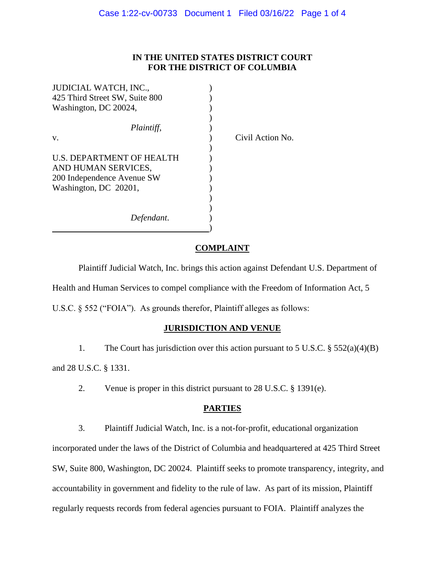## **IN THE UNITED STATES DISTRICT COURT FOR THE DISTRICT OF COLUMBIA**

Action No.

| JUDICIAL WATCH, INC.,          |       |
|--------------------------------|-------|
| 425 Third Street SW, Suite 800 |       |
| Washington, DC 20024,          |       |
| Plaintiff,                     |       |
| V.                             | Civil |
| U.S. DEPARTMENT OF HEALTH      |       |
| AND HUMAN SERVICES,            |       |
| 200 Independence Avenue SW     |       |
| Washington, DC 20201,          |       |
|                                |       |
| Defendant.                     |       |
|                                |       |

#### **COMPLAINT**

Plaintiff Judicial Watch, Inc. brings this action against Defendant U.S. Department of Health and Human Services to compel compliance with the Freedom of Information Act, 5 U.S.C. § 552 ("FOIA"). As grounds therefor, Plaintiff alleges as follows:

#### **JURISDICTION AND VENUE**

1. The Court has jurisdiction over this action pursuant to 5 U.S.C. § 552(a)(4)(B) and 28 U.S.C. § 1331.

2. Venue is proper in this district pursuant to 28 U.S.C. § 1391(e).

## **PARTIES**

3. Plaintiff Judicial Watch, Inc. is a not-for-profit, educational organization incorporated under the laws of the District of Columbia and headquartered at 425 Third Street SW, Suite 800, Washington, DC 20024. Plaintiff seeks to promote transparency, integrity, and accountability in government and fidelity to the rule of law. As part of its mission, Plaintiff regularly requests records from federal agencies pursuant to FOIA. Plaintiff analyzes the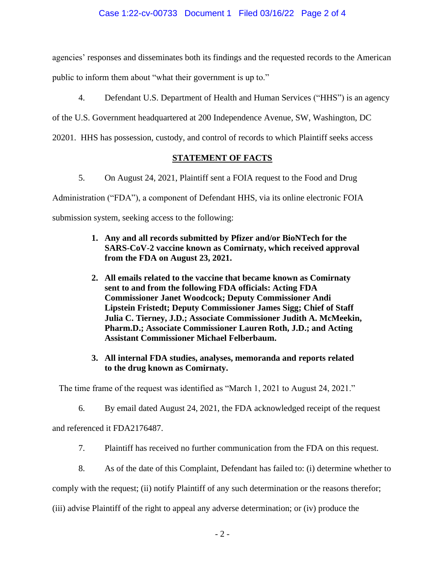agencies' responses and disseminates both its findings and the requested records to the American public to inform them about "what their government is up to."

4. Defendant U.S. Department of Health and Human Services ("HHS") is an agency

of the U.S. Government headquartered at 200 Independence Avenue, SW, Washington, DC

20201. HHS has possession, custody, and control of records to which Plaintiff seeks access

# **STATEMENT OF FACTS**

5. On August 24, 2021, Plaintiff sent a FOIA request to the Food and Drug

Administration ("FDA"), a component of Defendant HHS, via its online electronic FOIA

submission system, seeking access to the following:

- **1. Any and all records submitted by Pfizer and/or BioNTech for the SARS-CoV-2 vaccine known as Comirnaty, which received approval from the FDA on August 23, 2021.**
- **2. All emails related to the vaccine that became known as Comirnaty sent to and from the following FDA officials: Acting FDA Commissioner Janet Woodcock; Deputy Commissioner Andi Lipstein Fristedt; Deputy Commissioner James Sigg; Chief of Staff Julia C. Tierney, J.D.; Associate Commissioner Judith A. McMeekin, Pharm.D.; Associate Commissioner Lauren Roth, J.D.; and Acting Assistant Commissioner Michael Felberbaum.**
- **3. All internal FDA studies, analyses, memoranda and reports related to the drug known as Comirnaty.**

The time frame of the request was identified as "March 1, 2021 to August 24, 2021."

6. By email dated August 24, 2021, the FDA acknowledged receipt of the request

and referenced it FDA2176487.

- 7. Plaintiff has received no further communication from the FDA on this request.
- 8. As of the date of this Complaint, Defendant has failed to: (i) determine whether to

comply with the request; (ii) notify Plaintiff of any such determination or the reasons therefor;

(iii) advise Plaintiff of the right to appeal any adverse determination; or (iv) produce the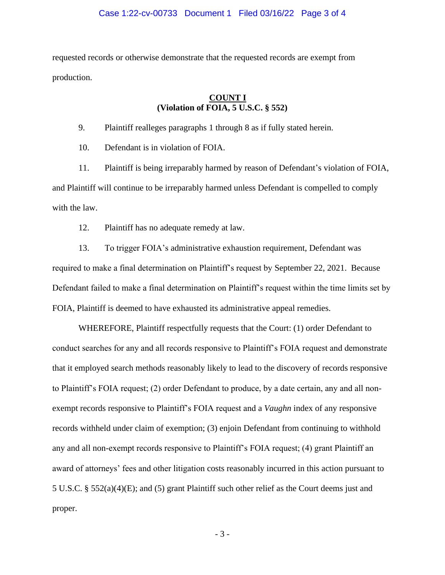requested records or otherwise demonstrate that the requested records are exempt from production.

#### **COUNT I (Violation of FOIA, 5 U.S.C. § 552)**

9. Plaintiff realleges paragraphs 1 through 8 as if fully stated herein.

10. Defendant is in violation of FOIA.

11. Plaintiff is being irreparably harmed by reason of Defendant's violation of FOIA, and Plaintiff will continue to be irreparably harmed unless Defendant is compelled to comply with the law.

12. Plaintiff has no adequate remedy at law.

13. To trigger FOIA's administrative exhaustion requirement, Defendant was required to make a final determination on Plaintiff's request by September 22, 2021. Because Defendant failed to make a final determination on Plaintiff's request within the time limits set by FOIA, Plaintiff is deemed to have exhausted its administrative appeal remedies.

WHEREFORE, Plaintiff respectfully requests that the Court: (1) order Defendant to conduct searches for any and all records responsive to Plaintiff's FOIA request and demonstrate that it employed search methods reasonably likely to lead to the discovery of records responsive to Plaintiff's FOIA request; (2) order Defendant to produce, by a date certain, any and all nonexempt records responsive to Plaintiff's FOIA request and a *Vaughn* index of any responsive records withheld under claim of exemption; (3) enjoin Defendant from continuing to withhold any and all non-exempt records responsive to Plaintiff's FOIA request; (4) grant Plaintiff an award of attorneys' fees and other litigation costs reasonably incurred in this action pursuant to 5 U.S.C. § 552(a)(4)(E); and (5) grant Plaintiff such other relief as the Court deems just and proper.